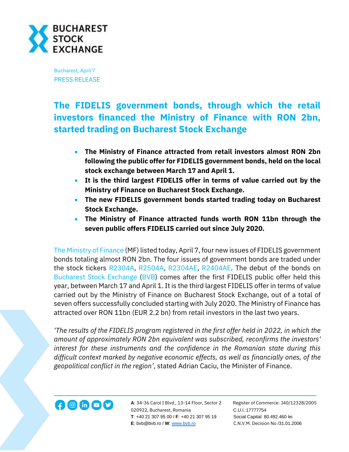

Bucharest, April 7 PRESS RELEASE

## **The FIDELIS government bonds, through which the retail investors financed the Ministry of Finance with RON 2bn, started trading on Bucharest Stock Exchange**

- **The Ministry of Finance attracted from retail investors almost RON 2bn following the public offer for FIDELIS government bonds, held on the local stock exchange between March 17 and April 1.**
- **It is the third largest FIDELIS offer in terms of value carried out by the Ministry of Finance on Bucharest Stock Exchange.**
- **The new FIDELIS government bonds started trading today on Bucharest Stock Exchange.**
- **The Ministry of Finance attracted funds worth RON 11bn through the seven public offers FIDELIS carried out since July 2020.**

[The Ministry of Finance](https://mfinante.gov.ro/ro/web/site) (MF) listed today, April 7, four new issues of FIDELIS government bonds totaling almost RON 2bn. The four issues of government bonds are traded under the stock tickers [R2304A,](https://bvb.ro/FinancialInstruments/Details/FinancialInstrumentsDetails.aspx?s=R2304A) [R2504A,](https://bvb.ro/FinancialInstruments/Details/FinancialInstrumentsDetails.aspx?s=R2504A) [R2304AE,](https://bvb.ro/FinancialInstruments/Details/FinancialInstrumentsDetails.aspx?s=R2304AE) [R2404AE.](https://bvb.ro/FinancialInstruments/Details/FinancialInstrumentsDetails.aspx?s=R2404AE) The debut of the bonds on [Bucharest Stock Exchange](http://www.bvb.ro/) [\(BVB\)](https://bvb.ro/FinancialInstruments/Details/FinancialInstrumentsDetails.aspx?s=bvb) comes after the first FIDELIS public offer held this year, between March 17 and April 1. It is the third largest FIDELIS offer in terms of value carried out by the Ministry of Finance on Bucharest Stock Exchange, out of a total of seven offers successfully concluded starting with July 2020. The Ministry of Finance has attracted over RON 11bn (EUR 2.2 bn) from retail investors in the last two years.

*'The results of the FIDELIS program registered in the first offer held in 2022, in which the amount of approximately RON 2bn equivalent was subscribed, reconfirms the investors' interest for these instruments and the confidence in the Romanian state during this difficult context marked by negative economic effects, as well as financially ones, of the geopolitical conflict in the region'*, stated Adrian Caciu, the Minister of Finance.



**A**: 34-36 Carol I Blvd., 13-14 Floor, Sector 2 Register of Commerce: J40/12328/2005 020922, Bucharest, Romania C.U.I.:17777754  **T**: +40 21 307 95 00 / **F**: +40 21 307 95 19 Social Capital: 80.492.460 lei  **E**: bvb@bvb.ro / **W**[: www.bvb.ro](http://www.bvb.ro/) C.N.V.M. Decision No /31.01.2006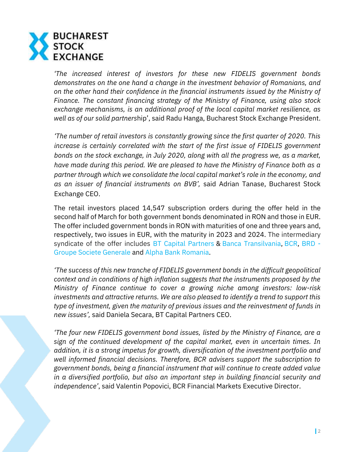

*'The increased interest of investors for these new FIDELIS government bonds demonstrates on the one hand a change in the investment behavior of Romanians, and on the other hand their confidence in the financial instruments issued by the Ministry of Finance. The constant financing strategy of the Ministry of Finance, using also stock exchange mechanisms, is an additional proof of the local capital market resilience, as well as of our solid partners*hip', said Radu Hanga, Bucharest Stock Exchange President.

*'The number of retail investors is constantly growing since the first quarter of 2020. This increase is certainly correlated with the start of the first issue of FIDELIS government bonds on the stock exchange, in July 2020, along with all the progress we, as a market, have made during this period. We are pleased to have the Ministry of Finance both as a partner through which we consolidate the local capital market's role in the economy, and as an issuer of financial instruments on BVB',* said Adrian Tanase, Bucharest Stock Exchange CEO.

The retail investors placed 14,547 subscription orders during the offer held in the second half of March for both government bonds denominated in RON and those in EUR. The offer included government bonds in RON with maturities of one and three years and, respectively, two issues in EUR, with the maturity in 2023 and 2024. The intermediary syndicate of the offer includes [BT Capital Partners](https://btcapitalpartners.ro/) & [Banca Transilvania,](https://www.bancatransilvania.ro/) [BCR,](https://www.bcr.ro/ro/persoane-fizice) [BRD -](https://www.brd.ro/) [Groupe Societe Generale](https://www.brd.ro/) and [Alpha Bank Romania.](https://www.alphabank.ro/)

*'The success of this new tranche of FIDELIS government bonds in the difficult geopolitical context and in conditions of high inflation suggests that the instruments proposed by the Ministry of Finance continue to cover a growing niche among investors: low-risk investments and attractive returns. We are also pleased to identify a trend to support this type of investment, given the maturity of previous issues and the reinvestment of funds in new issues',* said Daniela Secara, BT Capital Partners CEO.

*'The four new FIDELIS government bond issues, listed by the Ministry of Finance, are a sign of the continued development of the capital market, even in uncertain times. In addition, it is a strong impetus for growth, diversification of the investment portfolio and well informed financial decisions. Therefore, BCR advisers support the subscription to government bonds, being a financial instrument that will continue to create added value in a diversified portfolio, but also an important step in building financial security and independence'*, said Valentin Popovici, BCR Financial Markets Executive Director.